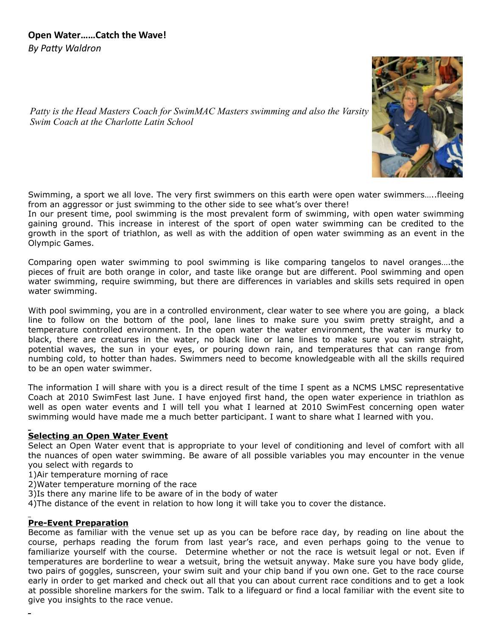

*Patty is the Head Masters Coach for SwimMAC Masters swimming and also the Varsity Swim Coach at the Charlotte Latin School*

Swimming, a sport we all love. The very first swimmers on this earth were open water swimmers…..fleeing from an aggressor or just swimming to the other side to see what's over there!

In our present time, pool swimming is the most prevalent form of swimming, with open water swimming gaining ground. This increase in interest of the sport of open water swimming can be credited to the growth in the sport of triathlon, as well as with the addition of open water swimming as an event in the Olympic Games.

Comparing open water swimming to pool swimming is like comparing tangelos to navel oranges….the pieces of fruit are both orange in color, and taste like orange but are different. Pool swimming and open water swimming, require swimming, but there are differences in variables and skills sets required in open water swimming.

With pool swimming, you are in a controlled environment, clear water to see where you are going, a black line to follow on the bottom of the pool, lane lines to make sure you swim pretty straight, and a temperature controlled environment. In the open water the water environment, the water is murky to black, there are creatures in the water, no black line or lane lines to make sure you swim straight, potential waves, the sun in your eyes, or pouring down rain, and temperatures that can range from numbing cold, to hotter than hades. Swimmers need to become knowledgeable with all the skills required to be an open water swimmer.

The information I will share with you is a direct result of the time I spent as a NCMS LMSC representative Coach at 2010 SwimFest last June. I have enjoyed first hand, the open water experience in triathlon as well as open water events and I will tell you what I learned at 2010 SwimFest concerning open water swimming would have made me a much better participant. I want to share what I learned with you.

# **Selecting an Open Water Event**

Select an Open Water event that is appropriate to your level of conditioning and level of comfort with all the nuances of open water swimming. Be aware of all possible variables you may encounter in the venue you select with regards to

1)Air temperature morning of race

2)Water temperature morning of the race

3)Is there any marine life to be aware of in the body of water

4)The distance of the event in relation to how long it will take you to cover the distance.

### **Pre-Event Preparation**

Become as familiar with the venue set up as you can be before race day, by reading on line about the course, perhaps reading the forum from last year's race, and even perhaps going to the venue to familiarize yourself with the course. Determine whether or not the race is wetsuit legal or not. Even if temperatures are borderline to wear a wetsuit, bring the wetsuit anyway. Make sure you have body glide, two pairs of goggles, sunscreen, your swim suit and your chip band if you own one. Get to the race course early in order to get marked and check out all that you can about current race conditions and to get a look at possible shoreline markers for the swim. Talk to a lifeguard or find a local familiar with the event site to give you insights to the race venue.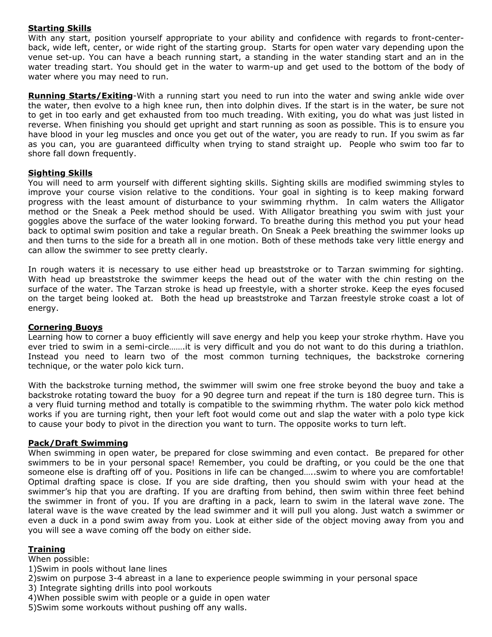## **Starting Skills**

With any start, position yourself appropriate to your ability and confidence with regards to front-centerback, wide left, center, or wide right of the starting group. Starts for open water vary depending upon the venue set-up. You can have a beach running start, a standing in the water standing start and an in the water treading start. You should get in the water to warm-up and get used to the bottom of the body of water where you may need to run.

**Running Starts/Exiting**-With a running start you need to run into the water and swing ankle wide over the water, then evolve to a high knee run, then into dolphin dives. If the start is in the water, be sure not to get in too early and get exhausted from too much treading. With exiting, you do what was just listed in reverse. When finishing you should get upright and start running as soon as possible. This is to ensure you have blood in your leg muscles and once you get out of the water, you are ready to run. If you swim as far as you can, you are guaranteed difficulty when trying to stand straight up. People who swim too far to shore fall down frequently.

### **Sighting Skills**

You will need to arm yourself with different sighting skills. Sighting skills are modified swimming styles to improve your course vision relative to the conditions. Your goal in sighting is to keep making forward progress with the least amount of disturbance to your swimming rhythm. In calm waters the Alligator method or the Sneak a Peek method should be used. With Alligator breathing you swim with just your goggles above the surface of the water looking forward. To breathe during this method you put your head back to optimal swim position and take a regular breath. On Sneak a Peek breathing the swimmer looks up and then turns to the side for a breath all in one motion. Both of these methods take very little energy and can allow the swimmer to see pretty clearly.

In rough waters it is necessary to use either head up breaststroke or to Tarzan swimming for sighting. With head up breaststroke the swimmer keeps the head out of the water with the chin resting on the surface of the water. The Tarzan stroke is head up freestyle, with a shorter stroke. Keep the eyes focused on the target being looked at. Both the head up breaststroke and Tarzan freestyle stroke coast a lot of energy.

### **Cornering Buoys**

Learning how to corner a buoy efficiently will save energy and help you keep your stroke rhythm. Have you ever tried to swim in a semi-circle…….it is very difficult and you do not want to do this during a triathlon. Instead you need to learn two of the most common turning techniques, the backstroke cornering technique, or the water polo kick turn.

With the backstroke turning method, the swimmer will swim one free stroke beyond the buoy and take a backstroke rotating toward the buoy for a 90 degree turn and repeat if the turn is 180 degree turn. This is a very fluid turning method and totally is compatible to the swimming rhythm. The water polo kick method works if you are turning right, then your left foot would come out and slap the water with a polo type kick to cause your body to pivot in the direction you want to turn. The opposite works to turn left.

### **Pack/Draft Swimming**

When swimming in open water, be prepared for close swimming and even contact. Be prepared for other swimmers to be in your personal space! Remember, you could be drafting, or you could be the one that someone else is drafting off of you. Positions in life can be changed…..swim to where you are comfortable! Optimal drafting space is close. If you are side drafting, then you should swim with your head at the swimmer's hip that you are drafting. If you are drafting from behind, then swim within three feet behind the swimmer in front of you. If you are drafting in a pack, learn to swim in the lateral wave zone. The lateral wave is the wave created by the lead swimmer and it will pull you along. Just watch a swimmer or even a duck in a pond swim away from you. Look at either side of the object moving away from you and you will see a wave coming off the body on either side.

### **Training**

When possible:

- 1)Swim in pools without lane lines
- 2)swim on purpose 3-4 abreast in a lane to experience people swimming in your personal space
- 3) Integrate sighting drills into pool workouts
- 4)When possible swim with people or a guide in open water
- 5)Swim some workouts without pushing off any walls.